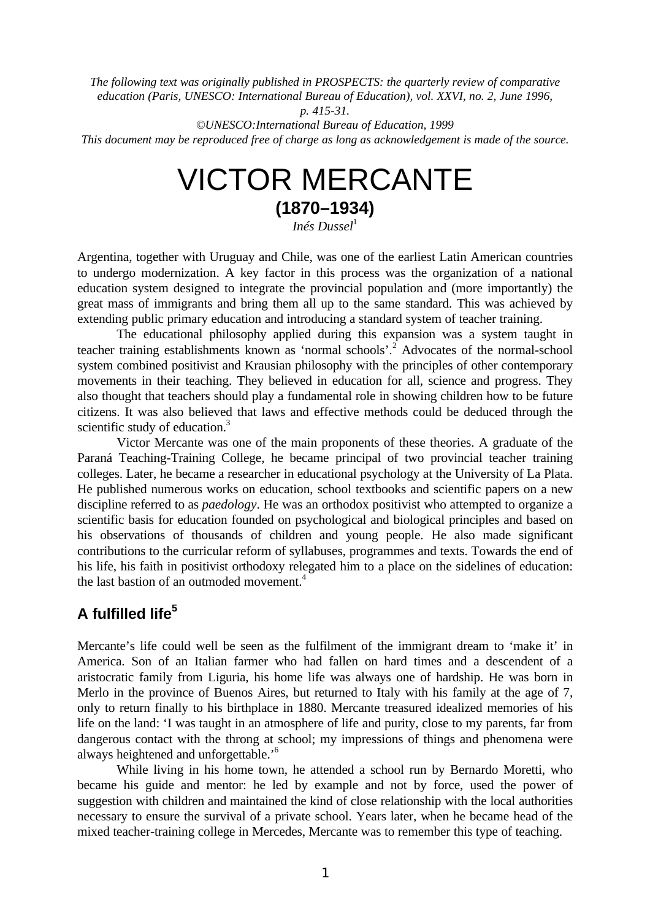*The following text was originally published in PROSPECTS: the quarterly review of comparative education (Paris, UNESCO: International Bureau of Education), vol. XXVI, no. 2, June 1996, p. 415-31.*

*©UNESCO:International Bureau of Education, 1999*

*This document may be reproduced free of charge as long as acknowledgement is made of the source.*

# VICTOR MERCANTE **(1870–1934)**

*Inés Dussel*<sup>1</sup>

Argentina, together with Uruguay and Chile, was one of the earliest Latin American countries to undergo modernization. A key factor in this process was the organization of a national education system designed to integrate the provincial population and (more importantly) the great mass of immigrants and bring them all up to the same standard. This was achieved by extending public primary education and introducing a standard system of teacher training.

The educational philosophy applied during this expansion was a system taught in teacher training establishments known as 'normal schools'.<sup>2</sup> Advocates of the normal-school system combined positivist and Krausian philosophy with the principles of other contemporary movements in their teaching. They believed in education for all, science and progress. They also thought that teachers should play a fundamental role in showing children how to be future citizens. It was also believed that laws and effective methods could be deduced through the scientific study of education.<sup>3</sup>

Victor Mercante was one of the main proponents of these theories. A graduate of the Paraná Teaching-Training College, he became principal of two provincial teacher training colleges. Later, he became a researcher in educational psychology at the University of La Plata. He published numerous works on education, school textbooks and scientific papers on a new discipline referred to as *paedology*. He was an orthodox positivist who attempted to organize a scientific basis for education founded on psychological and biological principles and based on his observations of thousands of children and young people. He also made significant contributions to the curricular reform of syllabuses, programmes and texts. Towards the end of his life, his faith in positivist orthodoxy relegated him to a place on the sidelines of education: the last bastion of an outmoded movement.<sup>4</sup>

# **A fulfilled life<sup>5</sup>**

Mercante's life could well be seen as the fulfilment of the immigrant dream to 'make it' in America. Son of an Italian farmer who had fallen on hard times and a descendent of a aristocratic family from Liguria, his home life was always one of hardship. He was born in Merlo in the province of Buenos Aires, but returned to Italy with his family at the age of 7, only to return finally to his birthplace in 1880. Mercante treasured idealized memories of his life on the land: 'I was taught in an atmosphere of life and purity, close to my parents, far from dangerous contact with the throng at school; my impressions of things and phenomena were always heightened and unforgettable.'<sup>6</sup>

While living in his home town, he attended a school run by Bernardo Moretti, who became his guide and mentor: he led by example and not by force, used the power of suggestion with children and maintained the kind of close relationship with the local authorities necessary to ensure the survival of a private school. Years later, when he became head of the mixed teacher-training college in Mercedes, Mercante was to remember this type of teaching.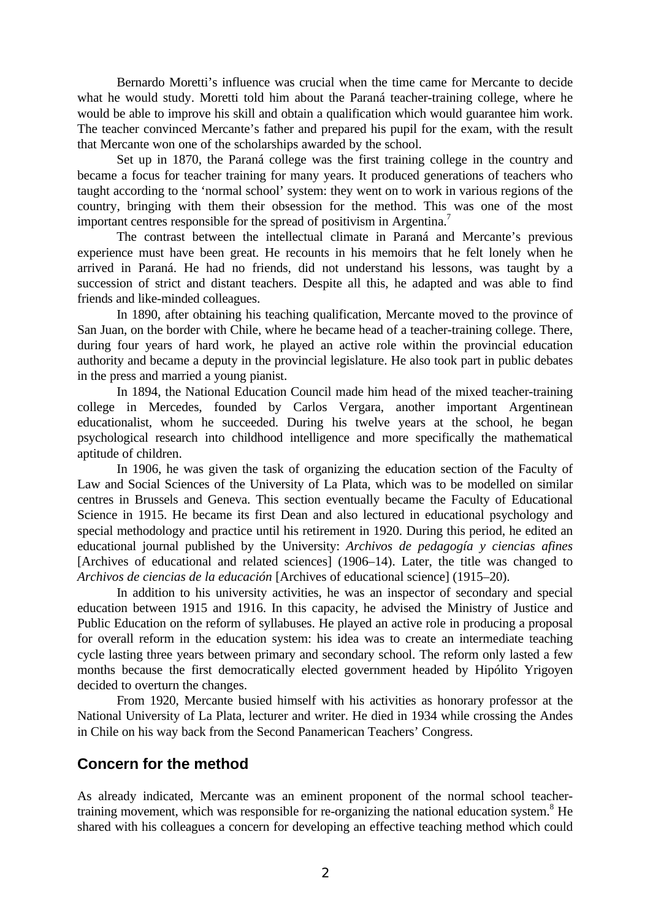Bernardo Moretti's influence was crucial when the time came for Mercante to decide what he would study. Moretti told him about the Paraná teacher-training college, where he would be able to improve his skill and obtain a qualification which would guarantee him work. The teacher convinced Mercante's father and prepared his pupil for the exam, with the result that Mercante won one of the scholarships awarded by the school.

Set up in 1870, the Paraná college was the first training college in the country and became a focus for teacher training for many years. It produced generations of teachers who taught according to the 'normal school' system: they went on to work in various regions of the country, bringing with them their obsession for the method. This was one of the most important centres responsible for the spread of positivism in Argentina.<sup>7</sup>

The contrast between the intellectual climate in Paraná and Mercante's previous experience must have been great. He recounts in his memoirs that he felt lonely when he arrived in Paraná. He had no friends, did not understand his lessons, was taught by a succession of strict and distant teachers. Despite all this, he adapted and was able to find friends and like-minded colleagues.

In 1890, after obtaining his teaching qualification, Mercante moved to the province of San Juan, on the border with Chile, where he became head of a teacher-training college. There, during four years of hard work, he played an active role within the provincial education authority and became a deputy in the provincial legislature. He also took part in public debates in the press and married a young pianist.

In 1894, the National Education Council made him head of the mixed teacher-training college in Mercedes, founded by Carlos Vergara, another important Argentinean educationalist, whom he succeeded. During his twelve years at the school, he began psychological research into childhood intelligence and more specifically the mathematical aptitude of children.

In 1906, he was given the task of organizing the education section of the Faculty of Law and Social Sciences of the University of La Plata, which was to be modelled on similar centres in Brussels and Geneva. This section eventually became the Faculty of Educational Science in 1915. He became its first Dean and also lectured in educational psychology and special methodology and practice until his retirement in 1920. During this period, he edited an educational journal published by the University: *Archivos de pedagogía y ciencias afines* [Archives of educational and related sciences] (1906–14). Later, the title was changed to *Archivos de ciencias de la educación* [Archives of educational science] (1915–20).

In addition to his university activities, he was an inspector of secondary and special education between 1915 and 1916. In this capacity, he advised the Ministry of Justice and Public Education on the reform of syllabuses. He played an active role in producing a proposal for overall reform in the education system: his idea was to create an intermediate teaching cycle lasting three years between primary and secondary school. The reform only lasted a few months because the first democratically elected government headed by Hipólito Yrigoyen decided to overturn the changes.

From 1920, Mercante busied himself with his activities as honorary professor at the National University of La Plata, lecturer and writer. He died in 1934 while crossing the Andes in Chile on his way back from the Second Panamerican Teachers' Congress.

# **Concern for the method**

As already indicated, Mercante was an eminent proponent of the normal school teachertraining movement, which was responsible for re-organizing the national education system.<sup>8</sup> He shared with his colleagues a concern for developing an effective teaching method which could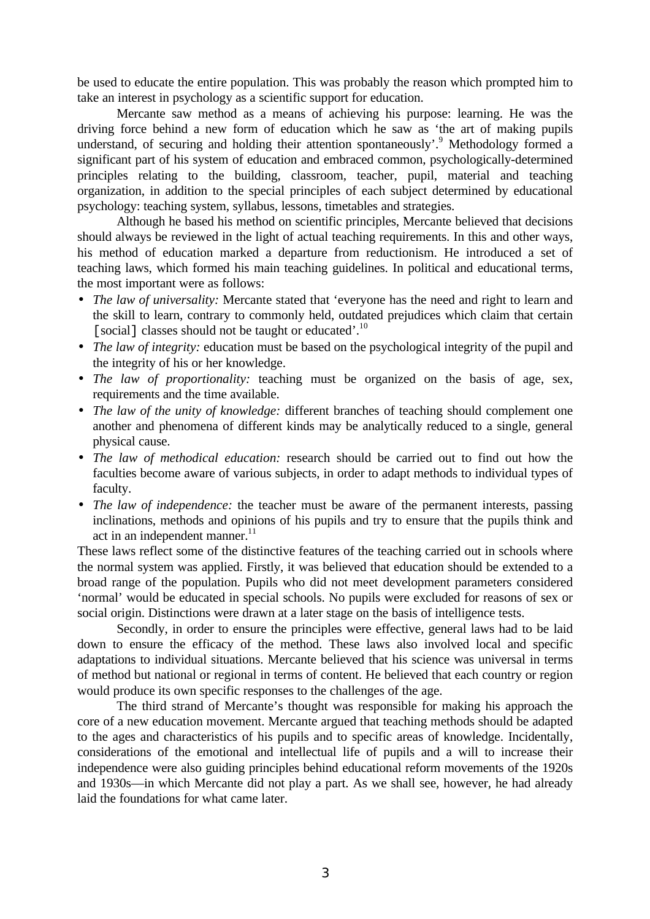be used to educate the entire population. This was probably the reason which prompted him to take an interest in psychology as a scientific support for education.

Mercante saw method as a means of achieving his purpose: learning. He was the driving force behind a new form of education which he saw as 'the art of making pupils understand, of securing and holding their attention spontaneously'.<sup>9</sup> Methodology formed a significant part of his system of education and embraced common, psychologically-determined principles relating to the building, classroom, teacher, pupil, material and teaching organization, in addition to the special principles of each subject determined by educational psychology: teaching system, syllabus, lessons, timetables and strategies.

Although he based his method on scientific principles, Mercante believed that decisions should always be reviewed in the light of actual teaching requirements. In this and other ways, his method of education marked a departure from reductionism. He introduced a set of teaching laws, which formed his main teaching guidelines. In political and educational terms, the most important were as follows:

- *The law of universality:* Mercante stated that 'everyone has the need and right to learn and the skill to learn, contrary to commonly held, outdated prejudices which claim that certain [social] classes should not be taught or educated'.<sup>10</sup>
- *The law of integrity:* education must be based on the psychological integrity of the pupil and the integrity of his or her knowledge.
- *The law of proportionality:* teaching must be organized on the basis of age, sex, requirements and the time available.
- *The law of the unity of knowledge:* different branches of teaching should complement one another and phenomena of different kinds may be analytically reduced to a single, general physical cause.
- *The law of methodical education:* research should be carried out to find out how the faculties become aware of various subjects, in order to adapt methods to individual types of faculty.
- *The law of independence:* the teacher must be aware of the permanent interests, passing inclinations, methods and opinions of his pupils and try to ensure that the pupils think and act in an independent manner. $^{11}$

These laws reflect some of the distinctive features of the teaching carried out in schools where the normal system was applied. Firstly, it was believed that education should be extended to a broad range of the population. Pupils who did not meet development parameters considered 'normal' would be educated in special schools. No pupils were excluded for reasons of sex or social origin. Distinctions were drawn at a later stage on the basis of intelligence tests.

Secondly, in order to ensure the principles were effective, general laws had to be laid down to ensure the efficacy of the method. These laws also involved local and specific adaptations to individual situations. Mercante believed that his science was universal in terms of method but national or regional in terms of content. He believed that each country or region would produce its own specific responses to the challenges of the age.

The third strand of Mercante's thought was responsible for making his approach the core of a new education movement. Mercante argued that teaching methods should be adapted to the ages and characteristics of his pupils and to specific areas of knowledge. Incidentally, considerations of the emotional and intellectual life of pupils and a will to increase their independence were also guiding principles behind educational reform movements of the 1920s and 1930s—in which Mercante did not play a part. As we shall see, however, he had already laid the foundations for what came later.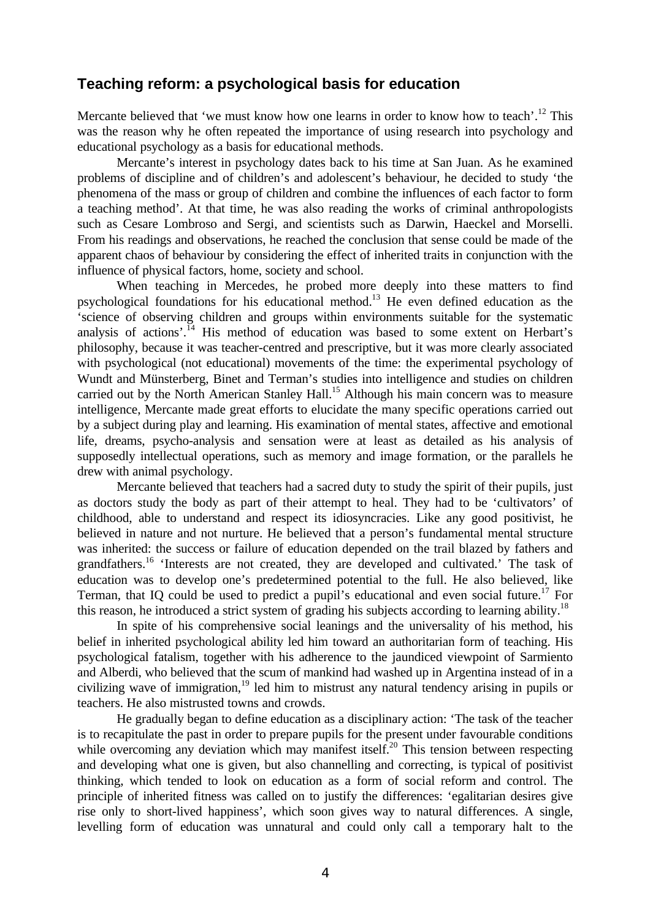## **Teaching reform: a psychological basis for education**

Mercante believed that 'we must know how one learns in order to know how to teach'.<sup>12</sup> This was the reason why he often repeated the importance of using research into psychology and educational psychology as a basis for educational methods.

Mercante's interest in psychology dates back to his time at San Juan. As he examined problems of discipline and of children's and adolescent's behaviour, he decided to study 'the phenomena of the mass or group of children and combine the influences of each factor to form a teaching method'. At that time, he was also reading the works of criminal anthropologists such as Cesare Lombroso and Sergi, and scientists such as Darwin, Haeckel and Morselli. From his readings and observations, he reached the conclusion that sense could be made of the apparent chaos of behaviour by considering the effect of inherited traits in conjunction with the influence of physical factors, home, society and school.

When teaching in Mercedes, he probed more deeply into these matters to find psychological foundations for his educational method.<sup>13</sup> He even defined education as the 'science of observing children and groups within environments suitable for the systematic analysis of actions'.<sup>14</sup> His method of education was based to some extent on Herbart's philosophy, because it was teacher-centred and prescriptive, but it was more clearly associated with psychological (not educational) movements of the time: the experimental psychology of Wundt and Münsterberg, Binet and Terman's studies into intelligence and studies on children carried out by the North American Stanley Hall.<sup>15</sup> Although his main concern was to measure intelligence, Mercante made great efforts to elucidate the many specific operations carried out by a subject during play and learning. His examination of mental states, affective and emotional life, dreams, psycho-analysis and sensation were at least as detailed as his analysis of supposedly intellectual operations, such as memory and image formation, or the parallels he drew with animal psychology.

Mercante believed that teachers had a sacred duty to study the spirit of their pupils, just as doctors study the body as part of their attempt to heal. They had to be 'cultivators' of childhood, able to understand and respect its idiosyncracies. Like any good positivist, he believed in nature and not nurture. He believed that a person's fundamental mental structure was inherited: the success or failure of education depended on the trail blazed by fathers and grandfathers.<sup>16</sup> 'Interests are not created, they are developed and cultivated.' The task of education was to develop one's predetermined potential to the full. He also believed, like Terman, that IQ could be used to predict a pupil's educational and even social future.<sup>17</sup> For this reason, he introduced a strict system of grading his subjects according to learning ability.<sup>18</sup>

In spite of his comprehensive social leanings and the universality of his method, his belief in inherited psychological ability led him toward an authoritarian form of teaching. His psychological fatalism, together with his adherence to the jaundiced viewpoint of Sarmiento and Alberdi, who believed that the scum of mankind had washed up in Argentina instead of in a civilizing wave of immigration, <sup>19</sup> led him to mistrust any natural tendency arising in pupils or teachers. He also mistrusted towns and crowds.

He gradually began to define education as a disciplinary action: 'The task of the teacher is to recapitulate the past in order to prepare pupils for the present under favourable conditions while overcoming any deviation which may manifest itself.<sup>20</sup> This tension between respecting and developing what one is given, but also channelling and correcting, is typical of positivist thinking, which tended to look on education as a form of social reform and control. The principle of inherited fitness was called on to justify the differences: 'egalitarian desires give rise only to short-lived happiness', which soon gives way to natural differences. A single, levelling form of education was unnatural and could only call a temporary halt to the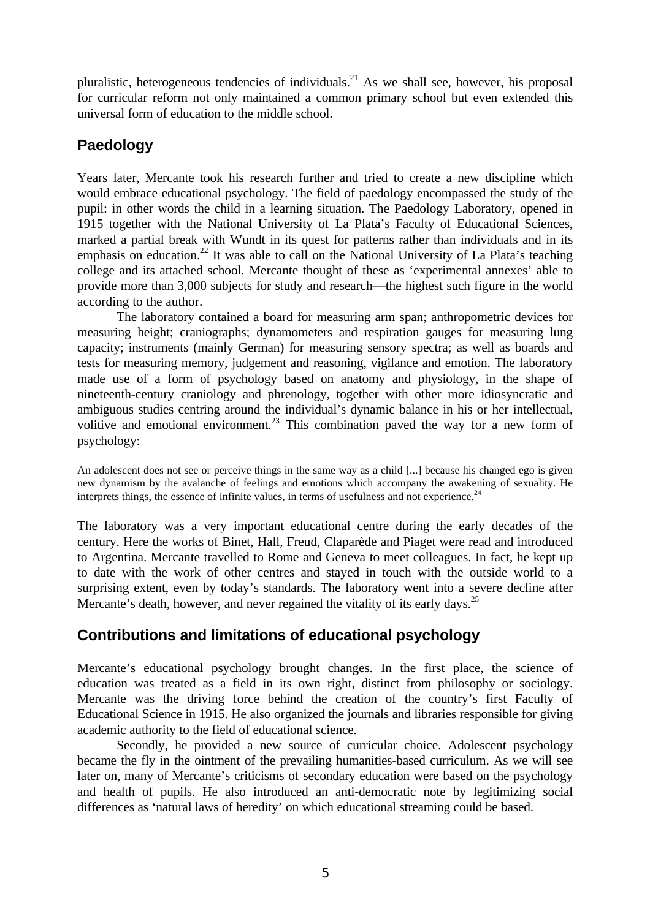pluralistic, heterogeneous tendencies of individuals.<sup>21</sup> As we shall see, however, his proposal for curricular reform not only maintained a common primary school but even extended this universal form of education to the middle school.

# **Paedology**

Years later, Mercante took his research further and tried to create a new discipline which would embrace educational psychology. The field of paedology encompassed the study of the pupil: in other words the child in a learning situation. The Paedology Laboratory, opened in 1915 together with the National University of La Plata's Faculty of Educational Sciences, marked a partial break with Wundt in its quest for patterns rather than individuals and in its emphasis on education.<sup>22</sup> It was able to call on the National University of La Plata's teaching college and its attached school. Mercante thought of these as 'experimental annexes' able to provide more than 3,000 subjects for study and research—the highest such figure in the world according to the author.

The laboratory contained a board for measuring arm span; anthropometric devices for measuring height; craniographs; dynamometers and respiration gauges for measuring lung capacity; instruments (mainly German) for measuring sensory spectra; as well as boards and tests for measuring memory, judgement and reasoning, vigilance and emotion. The laboratory made use of a form of psychology based on anatomy and physiology, in the shape of nineteenth-century craniology and phrenology, together with other more idiosyncratic and ambiguous studies centring around the individual's dynamic balance in his or her intellectual, volitive and emotional environment.<sup>23</sup> This combination paved the way for a new form of psychology:

An adolescent does not see or perceive things in the same way as a child [...] because his changed ego is given new dynamism by the avalanche of feelings and emotions which accompany the awakening of sexuality. He interprets things, the essence of infinite values, in terms of usefulness and not experience. $^{24}$ 

The laboratory was a very important educational centre during the early decades of the century. Here the works of Binet, Hall, Freud, Claparède and Piaget were read and introduced to Argentina. Mercante travelled to Rome and Geneva to meet colleagues. In fact, he kept up to date with the work of other centres and stayed in touch with the outside world to a surprising extent, even by today's standards. The laboratory went into a severe decline after Mercante's death, however, and never regained the vitality of its early days.<sup>25</sup>

# **Contributions and limitations of educational psychology**

Mercante's educational psychology brought changes. In the first place, the science of education was treated as a field in its own right, distinct from philosophy or sociology. Mercante was the driving force behind the creation of the country's first Faculty of Educational Science in 1915. He also organized the journals and libraries responsible for giving academic authority to the field of educational science.

Secondly, he provided a new source of curricular choice. Adolescent psychology became the fly in the ointment of the prevailing humanities-based curriculum. As we will see later on, many of Mercante's criticisms of secondary education were based on the psychology and health of pupils. He also introduced an anti-democratic note by legitimizing social differences as 'natural laws of heredity' on which educational streaming could be based.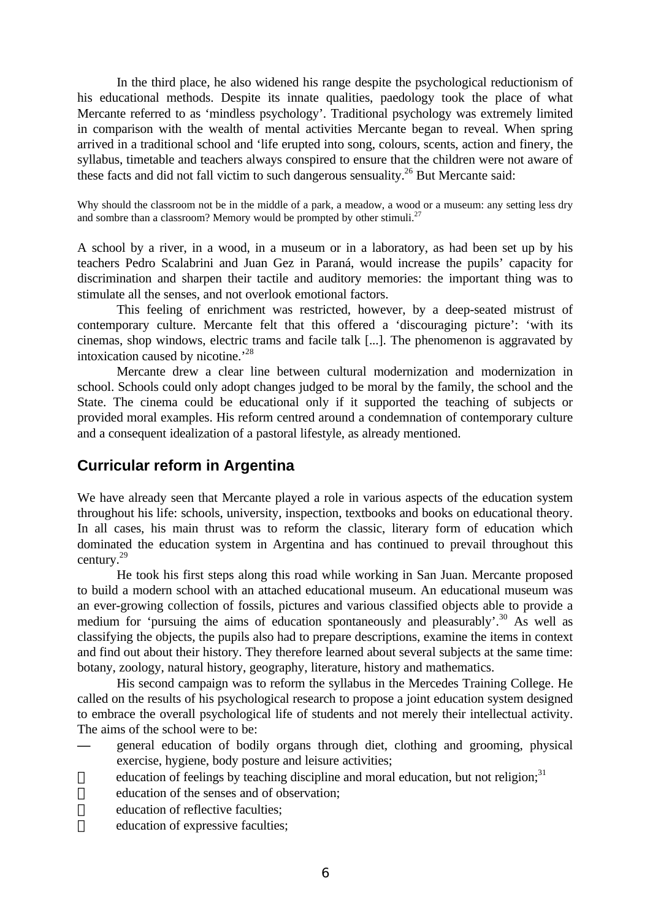In the third place, he also widened his range despite the psychological reductionism of his educational methods. Despite its innate qualities, paedology took the place of what Mercante referred to as 'mindless psychology'. Traditional psychology was extremely limited in comparison with the wealth of mental activities Mercante began to reveal. When spring arrived in a traditional school and 'life erupted into song, colours, scents, action and finery, the syllabus, timetable and teachers always conspired to ensure that the children were not aware of these facts and did not fall victim to such dangerous sensuality.<sup>26</sup> But Mercante said:

Why should the classroom not be in the middle of a park, a meadow, a wood or a museum: any setting less dry and sombre than a classroom? Memory would be prompted by other stimuli.<sup>27</sup>

A school by a river, in a wood, in a museum or in a laboratory, as had been set up by his teachers Pedro Scalabrini and Juan Gez in Paraná, would increase the pupils' capacity for discrimination and sharpen their tactile and auditory memories: the important thing was to stimulate all the senses, and not overlook emotional factors.

This feeling of enrichment was restricted, however, by a deep-seated mistrust of contemporary culture. Mercante felt that this offered a 'discouraging picture': 'with its cinemas, shop windows, electric trams and facile talk [...]. The phenomenon is aggravated by intoxication caused by nicotine.'<sup>28</sup>

Mercante drew a clear line between cultural modernization and modernization in school. Schools could only adopt changes judged to be moral by the family, the school and the State. The cinema could be educational only if it supported the teaching of subjects or provided moral examples. His reform centred around a condemnation of contemporary culture and a consequent idealization of a pastoral lifestyle, as already mentioned.

# **Curricular reform in Argentina**

We have already seen that Mercante played a role in various aspects of the education system throughout his life: schools, university, inspection, textbooks and books on educational theory. In all cases, his main thrust was to reform the classic, literary form of education which dominated the education system in Argentina and has continued to prevail throughout this century.<sup>29</sup>

He took his first steps along this road while working in San Juan. Mercante proposed to build a modern school with an attached educational museum. An educational museum was an ever-growing collection of fossils, pictures and various classified objects able to provide a medium for 'pursuing the aims of education spontaneously and pleasurably'.<sup>30</sup> As well as classifying the objects, the pupils also had to prepare descriptions, examine the items in context and find out about their history. They therefore learned about several subjects at the same time: botany, zoology, natural history, geography, literature, history and mathematics.

His second campaign was to reform the syllabus in the Mercedes Training College. He called on the results of his psychological research to propose a joint education system designed to embrace the overall psychological life of students and not merely their intellectual activity. The aims of the school were to be:

- **—** general education of bodily organs through diet, clothing and grooming, physical exercise, hygiene, body posture and leisure activities;
- education of feelings by teaching discipline and moral education, but not religion; $31$
- education of the senses and of observation;
- education of reflective faculties;
- $\equiv$  education of expressive faculties;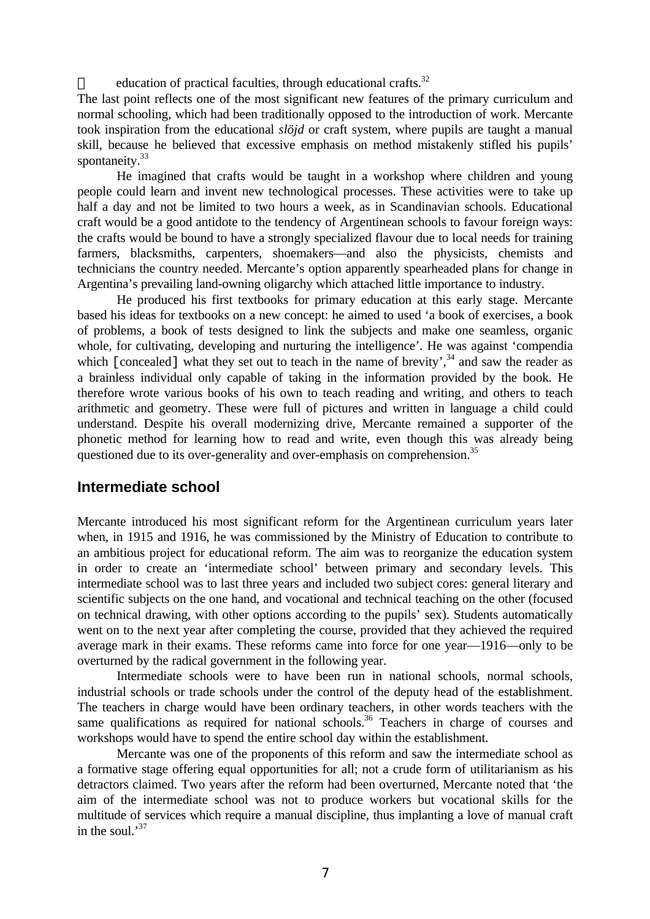education of practical faculties, through educational crafts.<sup>32</sup>

The last point reflects one of the most significant new features of the primary curriculum and normal schooling, which had been traditionally opposed to the introduction of work. Mercante took inspiration from the educational *slöjd* or craft system, where pupils are taught a manual skill, because he believed that excessive emphasis on method mistakenly stifled his pupils' spontaneity.<sup>33</sup>

He imagined that crafts would be taught in a workshop where children and young people could learn and invent new technological processes. These activities were to take up half a day and not be limited to two hours a week, as in Scandinavian schools. Educational craft would be a good antidote to the tendency of Argentinean schools to favour foreign ways: the crafts would be bound to have a strongly specialized flavour due to local needs for training farmers, blacksmiths, carpenters, shoemakers—and also the physicists, chemists and technicians the country needed. Mercante's option apparently spearheaded plans for change in Argentina's prevailing land-owning oligarchy which attached little importance to industry.

He produced his first textbooks for primary education at this early stage. Mercante based his ideas for textbooks on a new concept: he aimed to used 'a book of exercises, a book of problems, a book of tests designed to link the subjects and make one seamless, organic whole, for cultivating, developing and nurturing the intelligence'. He was against 'compendia which [concealed] what they set out to teach in the name of brevity', $34$  and saw the reader as a brainless individual only capable of taking in the information provided by the book. He therefore wrote various books of his own to teach reading and writing, and others to teach arithmetic and geometry. These were full of pictures and written in language a child could understand. Despite his overall modernizing drive, Mercante remained a supporter of the phonetic method for learning how to read and write, even though this was already being questioned due to its over-generality and over-emphasis on comprehension.<sup>35</sup>

## **Intermediate school**

Mercante introduced his most significant reform for the Argentinean curriculum years later when, in 1915 and 1916, he was commissioned by the Ministry of Education to contribute to an ambitious project for educational reform. The aim was to reorganize the education system in order to create an 'intermediate school' between primary and secondary levels. This intermediate school was to last three years and included two subject cores: general literary and scientific subjects on the one hand, and vocational and technical teaching on the other (focused on technical drawing, with other options according to the pupils' sex). Students automatically went on to the next year after completing the course, provided that they achieved the required average mark in their exams. These reforms came into force for one year—1916—only to be overturned by the radical government in the following year.

Intermediate schools were to have been run in national schools, normal schools, industrial schools or trade schools under the control of the deputy head of the establishment. The teachers in charge would have been ordinary teachers, in other words teachers with the same qualifications as required for national schools.<sup>36</sup> Teachers in charge of courses and workshops would have to spend the entire school day within the establishment.

Mercante was one of the proponents of this reform and saw the intermediate school as a formative stage offering equal opportunities for all; not a crude form of utilitarianism as his detractors claimed. Two years after the reform had been overturned, Mercante noted that 'the aim of the intermediate school was not to produce workers but vocational skills for the multitude of services which require a manual discipline, thus implanting a love of manual craft in the soul. $^{37}$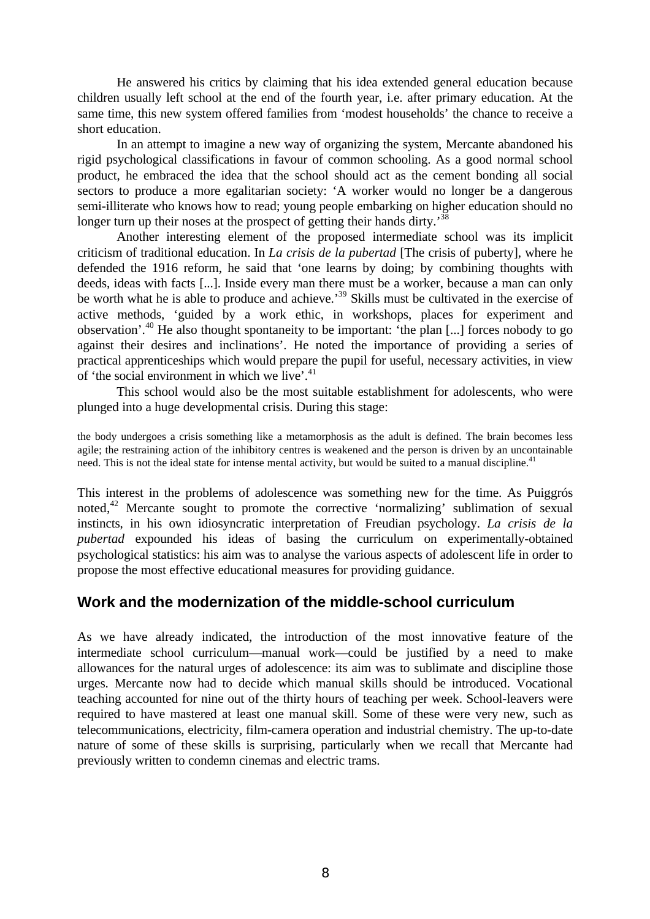He answered his critics by claiming that his idea extended general education because children usually left school at the end of the fourth year, i.e. after primary education. At the same time, this new system offered families from 'modest households' the chance to receive a short education.

In an attempt to imagine a new way of organizing the system, Mercante abandoned his rigid psychological classifications in favour of common schooling. As a good normal school product, he embraced the idea that the school should act as the cement bonding all social sectors to produce a more egalitarian society: 'A worker would no longer be a dangerous semi-illiterate who knows how to read; young people embarking on higher education should no longer turn up their noses at the prospect of getting their hands dirty.<sup>38</sup>

Another interesting element of the proposed intermediate school was its implicit criticism of traditional education. In *La crisis de la pubertad* [The crisis of puberty], where he defended the 1916 reform, he said that 'one learns by doing; by combining thoughts with deeds, ideas with facts [...]. Inside every man there must be a worker, because a man can only be worth what he is able to produce and achieve.<sup>39</sup> Skills must be cultivated in the exercise of active methods, 'guided by a work ethic, in workshops, places for experiment and observation'.<sup>40</sup> He also thought spontaneity to be important: 'the plan [...] forces nobody to go against their desires and inclinations'. He noted the importance of providing a series of practical apprenticeships which would prepare the pupil for useful, necessary activities, in view of 'the social environment in which we live'.<sup>41</sup>

This school would also be the most suitable establishment for adolescents, who were plunged into a huge developmental crisis. During this stage:

the body undergoes a crisis something like a metamorphosis as the adult is defined. The brain becomes less agile; the restraining action of the inhibitory centres is weakened and the person is driven by an uncontainable need. This is not the ideal state for intense mental activity, but would be suited to a manual discipline.<sup>41</sup>

This interest in the problems of adolescence was something new for the time. As Puiggrós noted,<sup>42</sup> Mercante sought to promote the corrective 'normalizing' sublimation of sexual instincts, in his own idiosyncratic interpretation of Freudian psychology. *La crisis de la pubertad* expounded his ideas of basing the curriculum on experimentally-obtained psychological statistics: his aim was to analyse the various aspects of adolescent life in order to propose the most effective educational measures for providing guidance.

# **Work and the modernization of the middle-school curriculum**

As we have already indicated, the introduction of the most innovative feature of the intermediate school curriculum—manual work—could be justified by a need to make allowances for the natural urges of adolescence: its aim was to sublimate and discipline those urges. Mercante now had to decide which manual skills should be introduced. Vocational teaching accounted for nine out of the thirty hours of teaching per week. School-leavers were required to have mastered at least one manual skill. Some of these were very new, such as telecommunications, electricity, film-camera operation and industrial chemistry. The up-to-date nature of some of these skills is surprising, particularly when we recall that Mercante had previously written to condemn cinemas and electric trams.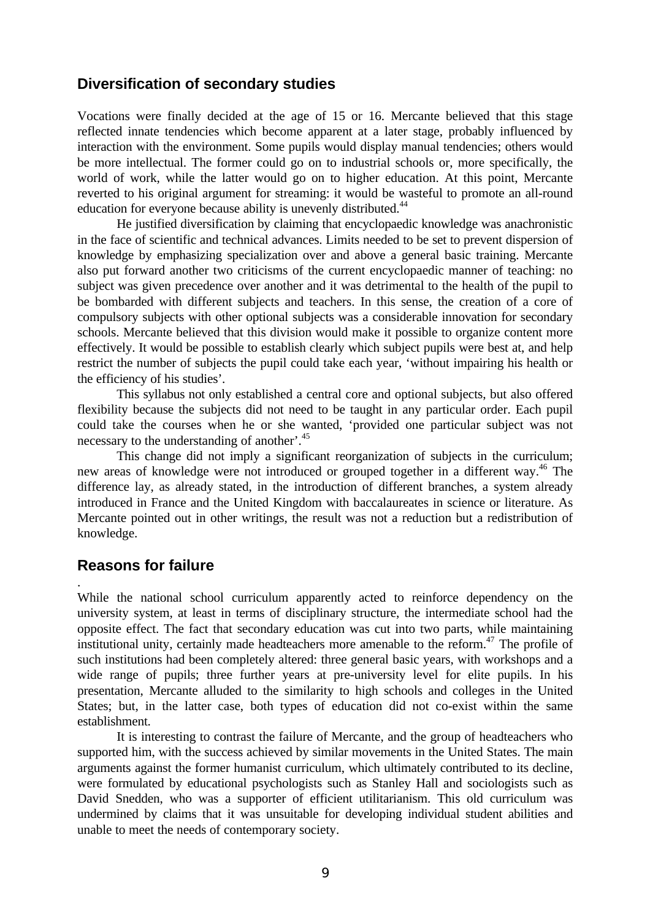## **Diversification of secondary studies**

Vocations were finally decided at the age of 15 or 16. Mercante believed that this stage reflected innate tendencies which become apparent at a later stage, probably influenced by interaction with the environment. Some pupils would display manual tendencies; others would be more intellectual. The former could go on to industrial schools or, more specifically, the world of work, while the latter would go on to higher education. At this point, Mercante reverted to his original argument for streaming: it would be wasteful to promote an all-round education for everyone because ability is unevenly distributed.<sup>44</sup>

He justified diversification by claiming that encyclopaedic knowledge was anachronistic in the face of scientific and technical advances. Limits needed to be set to prevent dispersion of knowledge by emphasizing specialization over and above a general basic training. Mercante also put forward another two criticisms of the current encyclopaedic manner of teaching: no subject was given precedence over another and it was detrimental to the health of the pupil to be bombarded with different subjects and teachers. In this sense, the creation of a core of compulsory subjects with other optional subjects was a considerable innovation for secondary schools. Mercante believed that this division would make it possible to organize content more effectively. It would be possible to establish clearly which subject pupils were best at, and help restrict the number of subjects the pupil could take each year, 'without impairing his health or the efficiency of his studies'.

This syllabus not only established a central core and optional subjects, but also offered flexibility because the subjects did not need to be taught in any particular order. Each pupil could take the courses when he or she wanted, 'provided one particular subject was not necessary to the understanding of another'.<sup>45</sup>

This change did not imply a significant reorganization of subjects in the curriculum; new areas of knowledge were not introduced or grouped together in a different way.<sup>46</sup> The difference lay, as already stated, in the introduction of different branches, a system already introduced in France and the United Kingdom with baccalaureates in science or literature. As Mercante pointed out in other writings, the result was not a reduction but a redistribution of knowledge.

# **Reasons for failure**

.

While the national school curriculum apparently acted to reinforce dependency on the university system, at least in terms of disciplinary structure, the intermediate school had the opposite effect. The fact that secondary education was cut into two parts, while maintaining institutional unity, certainly made headteachers more amenable to the reform.<sup> $47$ </sup> The profile of such institutions had been completely altered: three general basic years, with workshops and a wide range of pupils; three further years at pre-university level for elite pupils. In his presentation, Mercante alluded to the similarity to high schools and colleges in the United States; but, in the latter case, both types of education did not co-exist within the same establishment.

It is interesting to contrast the failure of Mercante, and the group of headteachers who supported him, with the success achieved by similar movements in the United States. The main arguments against the former humanist curriculum, which ultimately contributed to its decline, were formulated by educational psychologists such as Stanley Hall and sociologists such as David Snedden, who was a supporter of efficient utilitarianism. This old curriculum was undermined by claims that it was unsuitable for developing individual student abilities and unable to meet the needs of contemporary society.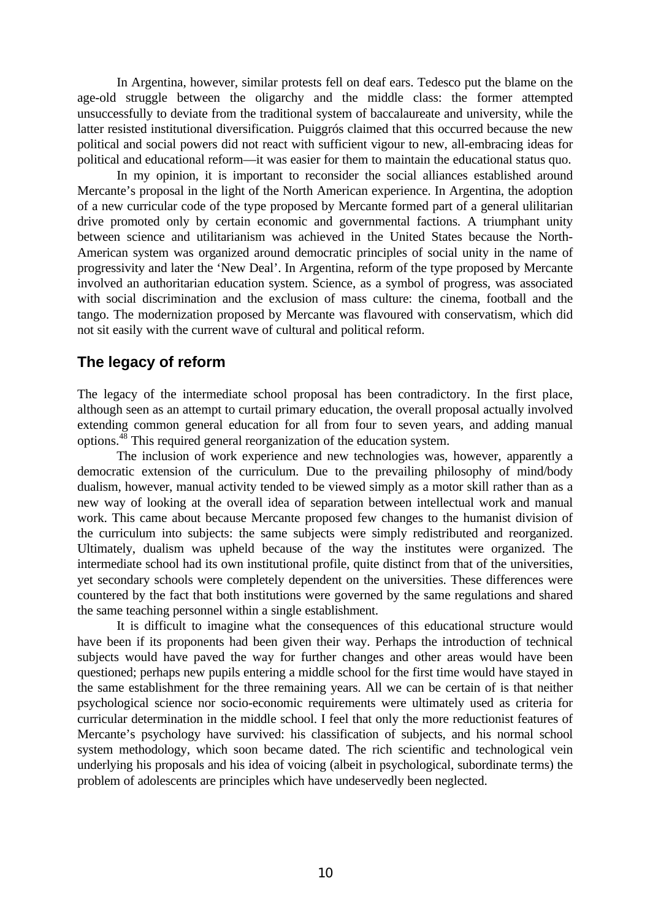In Argentina, however, similar protests fell on deaf ears. Tedesco put the blame on the age-old struggle between the oligarchy and the middle class: the former attempted unsuccessfully to deviate from the traditional system of baccalaureate and university, while the latter resisted institutional diversification. Puiggrós claimed that this occurred because the new political and social powers did not react with sufficient vigour to new, all-embracing ideas for political and educational reform—it was easier for them to maintain the educational status quo.

In my opinion, it is important to reconsider the social alliances established around Mercante's proposal in the light of the North American experience. In Argentina, the adoption of a new curricular code of the type proposed by Mercante formed part of a general ulilitarian drive promoted only by certain economic and governmental factions. A triumphant unity between science and utilitarianism was achieved in the United States because the North-American system was organized around democratic principles of social unity in the name of progressivity and later the 'New Deal'. In Argentina, reform of the type proposed by Mercante involved an authoritarian education system. Science, as a symbol of progress, was associated with social discrimination and the exclusion of mass culture: the cinema, football and the tango. The modernization proposed by Mercante was flavoured with conservatism, which did not sit easily with the current wave of cultural and political reform.

## **The legacy of reform**

The legacy of the intermediate school proposal has been contradictory. In the first place, although seen as an attempt to curtail primary education, the overall proposal actually involved extending common general education for all from four to seven years, and adding manual options.<sup>48</sup> This required general reorganization of the education system.

The inclusion of work experience and new technologies was, however, apparently a democratic extension of the curriculum. Due to the prevailing philosophy of mind/body dualism, however, manual activity tended to be viewed simply as a motor skill rather than as a new way of looking at the overall idea of separation between intellectual work and manual work. This came about because Mercante proposed few changes to the humanist division of the curriculum into subjects: the same subjects were simply redistributed and reorganized. Ultimately, dualism was upheld because of the way the institutes were organized. The intermediate school had its own institutional profile, quite distinct from that of the universities, yet secondary schools were completely dependent on the universities. These differences were countered by the fact that both institutions were governed by the same regulations and shared the same teaching personnel within a single establishment.

It is difficult to imagine what the consequences of this educational structure would have been if its proponents had been given their way. Perhaps the introduction of technical subjects would have paved the way for further changes and other areas would have been questioned; perhaps new pupils entering a middle school for the first time would have stayed in the same establishment for the three remaining years. All we can be certain of is that neither psychological science nor socio-economic requirements were ultimately used as criteria for curricular determination in the middle school. I feel that only the more reductionist features of Mercante's psychology have survived: his classification of subjects, and his normal school system methodology, which soon became dated. The rich scientific and technological vein underlying his proposals and his idea of voicing (albeit in psychological, subordinate terms) the problem of adolescents are principles which have undeservedly been neglected.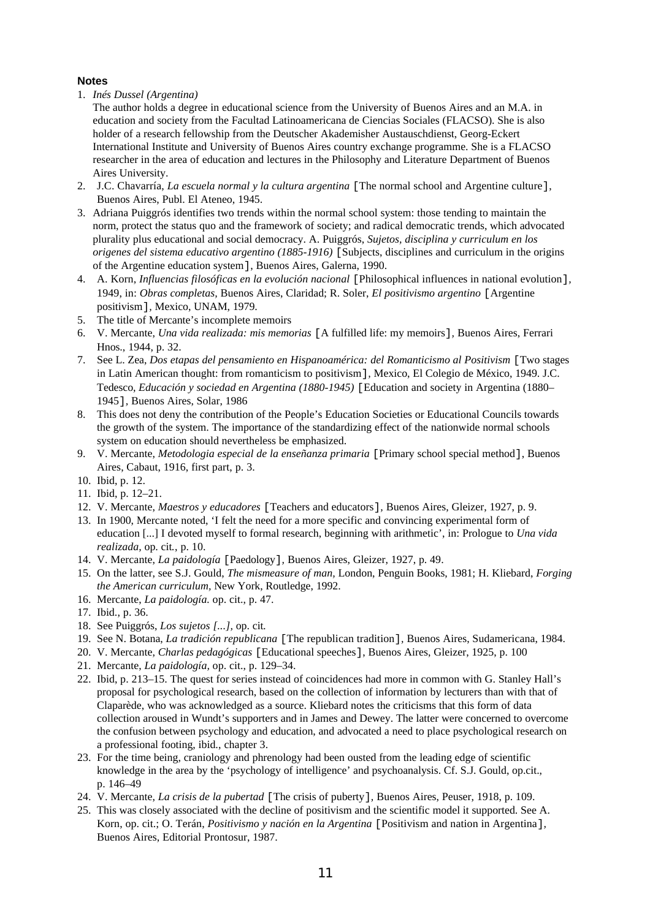### **Notes**

- 1. *Inés Dussel (Argentina)*
- The author holds a degree in educational science from the University of Buenos Aires and an M.A. in education and society from the Facultad Latinoamericana de Ciencias Sociales (FLACSO). She is also holder of a research fellowship from the Deutscher Akademisher Austauschdienst, Georg-Eckert International Institute and University of Buenos Aires country exchange programme. She is a FLACSO researcher in the area of education and lectures in the Philosophy and Literature Department of Buenos Aires University.
- 2. J.C. Chavarría, *La escuela normal y la cultura argentina* [The normal school and Argentine culture], Buenos Aires, Publ. El Ateneo, 1945.
- 3. Adriana Puiggrós identifies two trends within the normal school system: those tending to maintain the norm, protect the status quo and the framework of society; and radical democratic trends, which advocated plurality plus educational and social democracy. A. Puiggrós, *Sujetos, disciplina y curriculum en los origenes del sistema educativo argentino (1885-1916)* [Subjects, disciplines and curriculum in the origins of the Argentine education system], Buenos Aires, Galerna, 1990.
- 4. A. Korn, *Influencias filosóficas en la evolución nacional* [Philosophical influences in national evolution]*,* 1949, in: *Obras completas,* Buenos Aires, Claridad; R. Soler, *El positivismo argentino* [Argentine positivism]*,* Mexico, UNAM, 1979.
- 5. The title of Mercante's incomplete memoirs
- 6. V. Mercante, *Una vida realizada: mis memorias* [A fulfilled life: my memoirs]*,* Buenos Aires, Ferrari Hnos., 1944, p. 32.
- 7. See L. Zea, *Dos etapas del pensamiento en Hispanoamérica: del Romanticismo al Positivism* [Two stages in Latin American thought: from romanticism to positivism]*,* Mexico, El Colegio de México, 1949. J.C. Tedesco, *Educación y sociedad en Argentina (1880-1945)* [Education and society in Argentina (1880– 1945]*,* Buenos Aires, Solar, 1986
- 8. This does not deny the contribution of the People's Education Societies or Educational Councils towards the growth of the system. The importance of the standardizing effect of the nationwide normal schools system on education should nevertheless be emphasized.
- 9. V. Mercante, *Metodologia especial de la enseñanza primaria* [Primary school special method], Buenos Aires, Cabaut, 1916, first part, p. 3.
- 10. Ibid, p. 12.
- 11. Ibid, p. 12–21.
- 12. V. Mercante, *Maestros y educadores* [Teachers and educators]*,* Buenos Aires, Gleizer, 1927, p. 9.
- 13. In 1900, Mercante noted, 'I felt the need for a more specific and convincing experimental form of education [...] I devoted myself to formal research, beginning with arithmetic', in: Prologue to *Una vida realizada,* op. cit*.*, p. 10.
- 14. V. Mercante, *La paidología* [Paedology]*,* Buenos Aires, Gleizer, 1927, p. 49.
- 15. On the latter, see S.J. Gould, *The mismeasure of man,* London, Penguin Books, 1981; H. Kliebard, *Forging the American curriculum,* New York, Routledge, 1992.
- 16. Mercante, *La paidología.* op. cit., p. 47.
- 17. Ibid., p. 36.
- 18. See Puiggrós, *Los sujetos [...],* op. cit*.*
- 19. See N. Botana, *La tradición republicana* [The republican tradition]*,* Buenos Aires, Sudamericana, 1984.
- 20. V. Mercante, *Charlas pedagógicas* [Educational speeches], Buenos Aires, Gleizer, 1925, p. 100
- 21. Mercante, *La paidología,* op. cit., p. 129–34.
- 22. Ibid, p. 213–15. The quest for series instead of coincidences had more in common with G. Stanley Hall's proposal for psychological research, based on the collection of information by lecturers than with that of Claparède, who was acknowledged as a source. Kliebard notes the criticisms that this form of data collection aroused in Wundt's supporters and in James and Dewey. The latter were concerned to overcome the confusion between psychology and education, and advocated a need to place psychological research on a professional footing, ibid., chapter 3.
- 23. For the time being, craniology and phrenology had been ousted from the leading edge of scientific knowledge in the area by the 'psychology of intelligence' and psychoanalysis. Cf. S.J. Gould, op.cit., p. 146–49
- 24. V. Mercante, *La crisis de la pubertad* [The crisis of puberty]*,* Buenos Aires, Peuser, 1918, p. 109.
- 25. This was closely associated with the decline of positivism and the scientific model it supported. See A. Korn, op. cit.; O. Terán, *Positivismo y nación en la Argentina* [Positivism and nation in Argentina]*,* Buenos Aires, Editorial Prontosur, 1987.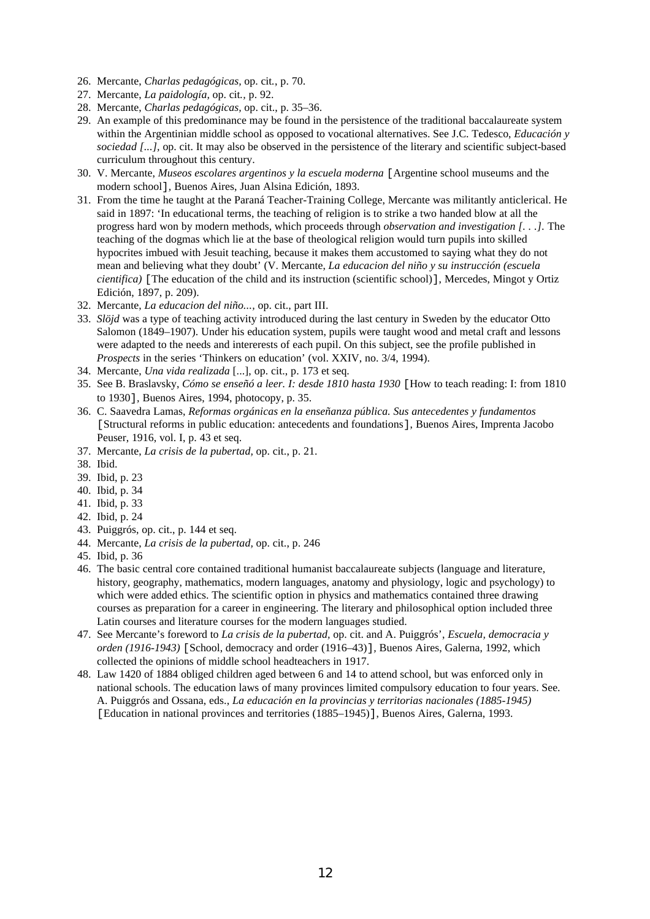- 26. Mercante, *Charlas pedagógicas,* op. cit*.*, p. 70.
- 27. Mercante, *La paidología,* op. cit*.,* p. 92.
- 28. Mercante, *Charlas pedagógicas,* op. cit., p. 35–36.
- 29. An example of this predominance may be found in the persistence of the traditional baccalaureate system within the Argentinian middle school as opposed to vocational alternatives. See J.C. Tedesco, *Educación y sociedad [...],* op. cit. It may also be observed in the persistence of the literary and scientific subject-based curriculum throughout this century.
- 30. V. Mercante, *Museos escolares argentinos y la escuela moderna* [Argentine school museums and the modern school]*,* Buenos Aires, Juan Alsina Edición, 1893.
- 31. From the time he taught at the Paraná Teacher-Training College, Mercante was militantly anticlerical. He said in 1897: 'In educational terms, the teaching of religion is to strike a two handed blow at all the progress hard won by modern methods, which proceeds through *observation and investigation [. . .].* The teaching of the dogmas which lie at the base of theological religion would turn pupils into skilled hypocrites imbued with Jesuit teaching, because it makes them accustomed to saying what they do not mean and believing what they doubt' (V. Mercante, *La educacion del niño y su instrucción (escuela cientifica)* [The education of the child and its instruction (scientific school)], Mercedes, Mingot y Ortiz Edición, 1897, p. 209).
- 32. Mercante, *La educacion del niño...,* op. cit., part III.
- 33. *Slöjd* was a type of teaching activity introduced during the last century in Sweden by the educator Otto Salomon (1849–1907). Under his education system, pupils were taught wood and metal craft and lessons were adapted to the needs and intererests of each pupil. On this subject, see the profile published in *Prospects* in the series 'Thinkers on education' (vol. XXIV, no. 3/4, 1994).
- 34. Mercante, *Una vida realizada* [...], op. cit., p. 173 et seq.
- 35. See B. Braslavsky, *Cómo se enseñó a leer. I: desde 1810 hasta 1930* [How to teach reading: I: from 1810 to 1930]*,* Buenos Aires, 1994, photocopy, p. 35.
- 36. C. Saavedra Lamas, *Reformas orgánicas en la enseñanza pública. Sus antecedentes y fundamentos* [Structural reforms in public education: antecedents and foundations], Buenos Aires, Imprenta Jacobo Peuser, 1916, vol. I, p. 43 et seq.
- 37. Mercante, *La crisis de la pubertad,* op. cit., p. 21.
- 38. Ibid.
- 39. Ibid, p. 23
- 40. Ibid, p. 34
- 41. Ibid, p. 33
- 42. Ibid, p. 24
- 43. Puiggrós, op. cit., p. 144 et seq.
- 44. Mercante, *La crisis de la pubertad,* op. cit., p. 246
- 45. Ibid, p. 36
- 46. The basic central core contained traditional humanist baccalaureate subjects (language and literature, history, geography, mathematics, modern languages, anatomy and physiology, logic and psychology) to which were added ethics. The scientific option in physics and mathematics contained three drawing courses as preparation for a career in engineering. The literary and philosophical option included three Latin courses and literature courses for the modern languages studied.
- 47. See Mercante's foreword to *La crisis de la pubertad,* op. cit. and A. Puiggrós', *Escuela, democracia y orden (1916-1943)* [School, democracy and order (1916–43)]*,* Buenos Aires, Galerna, 1992, which collected the opinions of middle school headteachers in 1917.
- 48. Law 1420 of 1884 obliged children aged between 6 and 14 to attend school, but was enforced only in national schools. The education laws of many provinces limited compulsory education to four years. See. A. Puiggrós and Ossana, eds., *La educación en la provincias y territorias nacionales (1885-1945)* [Education in national provinces and territories (1885–1945)], Buenos Aires, Galerna, 1993.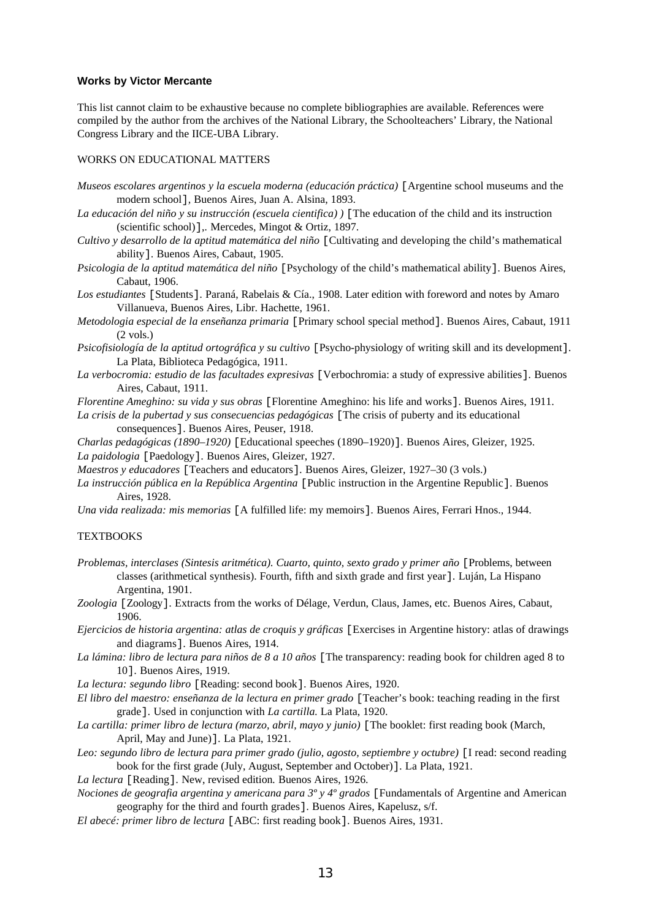#### **Works by Victor Mercante**

This list cannot claim to be exhaustive because no complete bibliographies are available. References were compiled by the author from the archives of the National Library, the Schoolteachers' Library, the National Congress Library and the IICE-UBA Library.

#### WORKS ON EDUCATIONAL MATTERS

- *Museos escolares argentinos y la escuela moderna (educación práctica)* [Argentine school museums and the modern school]*,* Buenos Aires, Juan A. Alsina, 1893.
- *La educación del niño y su instrucción (escuela cientifica) )* [The education of the child and its instruction (scientific school)],*.* Mercedes, Mingot & Ortiz, 1897.
- *Cultivo y desarrollo de la aptitud matemática del niño* [Cultivating and developing the child's mathematical ability]*.* Buenos Aires, Cabaut, 1905.
- *Psicologia de la aptitud matemática del niño* [Psychology of the child's mathematical ability]*.* Buenos Aires, Cabaut, 1906.
- *Los estudiantes* [Students]*.* Paraná, Rabelais & Cía., 1908. Later edition with foreword and notes by Amaro Villanueva, Buenos Aires, Libr. Hachette, 1961.
- *Metodologia especial de la enseñanza primaria* [Primary school special method]*.* Buenos Aires, Cabaut, 1911 (2 vols.)
- *Psicofisiología de la aptitud ortográfica y su cultivo* [Psycho-physiology of writing skill and its development]*.* La Plata, Biblioteca Pedagógica, 1911.
- *La verbocromia: estudio de las facultades expresivas* [Verbochromia: a study of expressive abilities]*.* Buenos Aires, Cabaut, 1911.

*Florentine Ameghino: su vida y sus obras* [Florentine Ameghino: his life and works]*.* Buenos Aires, 1911.

*La crisis de la pubertad y sus consecuencias pedagógicas* [The crisis of puberty and its educational consequences]. Buenos Aires, Peuser, 1918.

*Charlas pedagógicas (1890–1920)* [Educational speeches (1890–1920)]*.* Buenos Aires, Gleizer, 1925. *La paidologia* [Paedology]*.* Buenos Aires, Gleizer, 1927.

*Maestros y educadores* [Teachers and educators]*.* Buenos Aires, Gleizer, 1927–30 (3 vols.)

- *La instrucción pública en la República Argentina* [Public instruction in the Argentine Republic]*.* Buenos Aires, 1928.
- *Una vida realizada: mis memorias* [A fulfilled life: my memoirs]*.* Buenos Aires, Ferrari Hnos., 1944.

#### **TEXTBOOKS**

- *Problemas, interclases (Sintesis aritmética). Cuarto, quinto, sexto grado y primer año* [Problems, between classes (arithmetical synthesis). Fourth, fifth and sixth grade and first year]*.* Luján, La Hispano Argentina, 1901.
- *Zoologia* [Zoology]*.* Extracts from the works of Délage, Verdun, Claus, James, etc. Buenos Aires, Cabaut, 1906.

*Ejercicios de historia argentina: atlas de croquis y gráficas* [Exercises in Argentine history: atlas of drawings and diagrams]*.* Buenos Aires, 1914.

- *La lámina: libro de lectura para niños de 8 a 10 años* [The transparency: reading book for children aged 8 to 10]*.* Buenos Aires, 1919.
- *La lectura: segundo libro* [Reading: second book]*.* Buenos Aires, 1920.
- *El libro del maestro: enseñanza de la lectura en primer grado* [Teacher's book: teaching reading in the first grade]*.* Used in conjunction with *La cartilla.* La Plata, 1920.
- *La cartilla: primer libro de lectura (marzo, abril, mayo y junio)* [The booklet: first reading book (March, April, May and June)]*.* La Plata, 1921.
- *Leo: segundo libro de lectura para primer grado (julio, agosto, septiembre y octubre)* [I read: second reading book for the first grade (July, August, September and October)]*.* La Plata, 1921.
- *La lectura* [Reading]*.* New, revised edition*.* Buenos Aires, 1926.
- *Nociones de geografia argentina y americana para 3º y 4º grados* [Fundamentals of Argentine and American geography for the third and fourth grades]*.* Buenos Aires, Kapelusz, s/f.
- *El abecé: primer libro de lectura* [ABC: first reading book]*.* Buenos Aires, 1931.